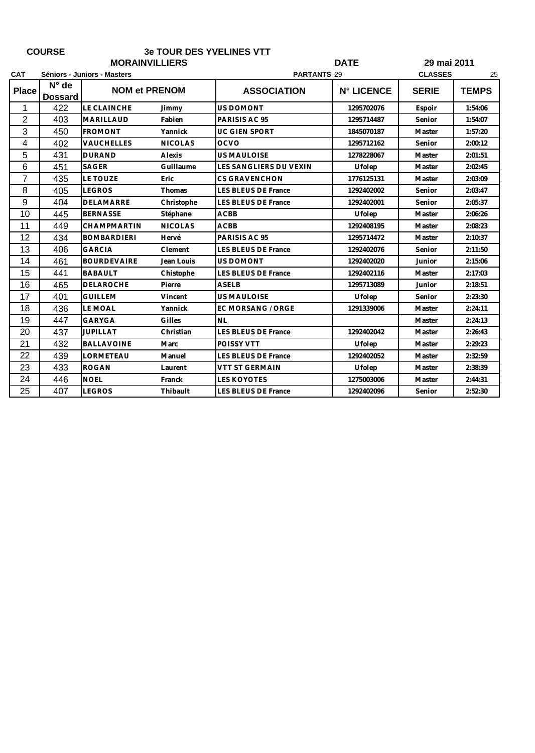| <b>COURSE</b>  |                                  |                             |                | <b>3e TOUR DES YVELINES VTT</b> |                      |              |              |  |
|----------------|----------------------------------|-----------------------------|----------------|---------------------------------|----------------------|--------------|--------------|--|
|                |                                  | <b>MORAINVILLIERS</b>       |                |                                 | <b>DATE</b>          |              | 29 mai 2011  |  |
| <b>CAT</b>     |                                  | Séniors - Juniors - Masters |                | <b>PARTANTS 29</b>              | <b>CLASSES</b><br>25 |              |              |  |
| <b>Place</b>   | $N^{\circ}$ de<br><b>Dossard</b> | <b>NOM et PRENOM</b>        |                | <b>ASSOCIATION</b>              | <b>N° LICENCE</b>    | <b>SERIE</b> | <b>TEMPS</b> |  |
| $\mathbf 1$    | 422                              | LE CLAINCHE                 | Jimmy          | <b>US DOMONT</b>                | 1295702076           | Espoir       | 1:54:06      |  |
| $\overline{2}$ | 403                              | MARILLAUD                   | Fabien         | PARISIS AC 95                   | 1295714487           | Senior       | 1:54:07      |  |
| $\mathbf{3}$   | 450                              | <b>FROMONT</b>              | Yannick        | <b>UC GIEN SPORT</b>            | 1845070187           | Master       | 1:57:20      |  |
| 4              | 402                              | <b>VAUCHELLES</b>           | <b>NICOLAS</b> | <b>OCVO</b>                     | 1295712162           | Senior       | 2:00:12      |  |
| 5              | 431                              | <b>DURAND</b>               | Alexis         | <b>US MAULOISE</b>              | 1278228067           | Master       | 2:01:51      |  |
| 6              | 451                              | SAGER                       | Guillaume      | LES SANGLIERS DU VEXIN          | Ufolep               | Master       | 2:02:45      |  |
| $\overline{7}$ | 435                              | LE TOUZE                    | Eric           | <b>CS GRAVENCHON</b>            | 1776125131           | Master       | 2:03:09      |  |
| 8              | 405                              | <b>LEGROS</b>               | Thomas         | <b>LES BLEUS DE France</b>      | 1292402002           | Senior       | 2:03:47      |  |
| 9              | 404                              | <b>DELAMARRE</b>            | Christophe     | <b>LES BLEUS DE France</b>      | 1292402001           | Senior       | 2:05:37      |  |
| 10             | 445                              | <b>BERNASSE</b>             | Stéphane       | <b>ACBB</b>                     | Ufolep               | Master       | 2:06:26      |  |
| 11             | 449                              | CHAMPMARTIN                 | <b>NICOLAS</b> | <b>ACBB</b>                     | 1292408195           | Master       | 2:08:23      |  |
| 12             | 434                              | <b>BOMBARDIERI</b>          | Hervé          | PARISIS AC 95                   | 1295714472           | Master       | 2:10:37      |  |
| 13             | 406                              | <b>GARCIA</b>               | Clement        | <b>LES BLEUS DE France</b>      | 1292402076           | Senior       | 2:11:50      |  |
| 14             | 461                              | <b>BOURDEVAIRE</b>          | Jean Louis     | <b>US DOMONT</b>                | 1292402020           | Junior       | 2:15:06      |  |
| 15             | 441                              | <b>BABAULT</b>              | Chistophe      | LES BLEUS DE France             | 1292402116           | Master       | 2:17:03      |  |
| 16             | 465                              | <b>DELAROCHE</b>            | Pierre         | <b>ASELB</b>                    | 1295713089           | Junior       | 2:18:51      |  |
| 17             | 401                              | <b>GUILLEM</b>              | Vincent        | <b>US MAULOISE</b>              | Ufolep               | Senior       | 2:23:30      |  |
| 18             | 436                              | <b>LE MOAL</b>              | Yannick        | EC MORSANG / ORGE               | 1291339006           | Master       | 2:24:11      |  |
| 19             | 447                              | <b>GARYGA</b>               | Gilles         | NL                              |                      | Master       | 2:24:13      |  |
| 20             | 437                              | <b>JUPILLAT</b>             | Christian      | <b>LES BLEUS DE France</b>      | 1292402042           | Master       | 2:26:43      |  |
| 21             | 432                              | <b>BALLAVOINE</b>           | <b>Marc</b>    | POISSY VTT                      | Ufolep               | Master       | 2:29:23      |  |
| 22             | 439                              | LORMETEAU                   | Manuel         | <b>LES BLEUS DE France</b>      | 1292402052           | Master       | 2:32:59      |  |
| 23             | 433                              | <b>ROGAN</b>                | Laurent        | <b>VTT ST GERMAIN</b>           | Ufolep               | Master       | 2:38:39      |  |
| 24             | 446                              | <b>NOEL</b>                 | Franck         | <b>LES KOYOTES</b>              | 1275003006           | Master       | 2:44:31      |  |
| 25             | 407                              | <b>LEGROS</b>               | Thibault       | LES BLEUS DE France             | 1292402096           | Senior       | 2:52:30      |  |